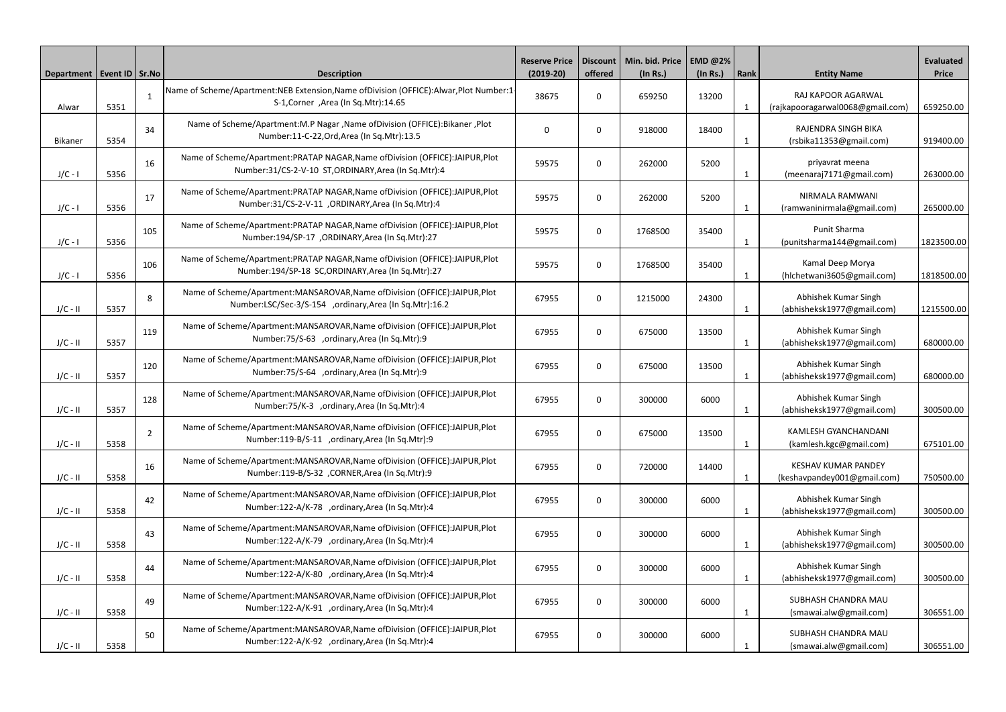| Department   Event ID   Sr.No |      |                | <b>Description</b>                                                                                                                    | <b>Reserve Price</b><br>$(2019-20)$ | offered          | Discount   Min. bid. Price   EMD @2%<br>$($ ln Rs. $)$ | (In Rs.) | <b>Rank</b>  | <b>Entity Name</b>                                        | <b>Evaluated</b><br><b>Price</b> |
|-------------------------------|------|----------------|---------------------------------------------------------------------------------------------------------------------------------------|-------------------------------------|------------------|--------------------------------------------------------|----------|--------------|-----------------------------------------------------------|----------------------------------|
| Alwar                         | 5351 | $\mathbf{1}$   | Name of Scheme/Apartment:NEB Extension, Name of Division (OFFICE): Alwar, Plot Number:1<br>S-1, Corner, Area (In Sq. Mtr): 14.65      | 38675                               | $\Omega$         | 659250                                                 | 13200    | $\mathbf{1}$ | RAJ KAPOOR AGARWAL<br>(rajkapooragarwal0068@gmail.com)    | 659250.00                        |
| <b>Bikaner</b>                | 5354 | 34             | Name of Scheme/Apartment:M.P Nagar , Name of Division (OFFICE): Bikaner, Plot<br>Number:11-C-22, Ord, Area (In Sq. Mtr):13.5          | 0                                   | $\Omega$         | 918000                                                 | 18400    | 1            | RAJENDRA SINGH BIKA<br>(rsbika11353@gmail.com)            | 919400.00                        |
| $J/C - I$                     | 5356 | 16             | Name of Scheme/Apartment:PRATAP NAGAR, Name of Division (OFFICE):JAIPUR, Plot<br>Number:31/CS-2-V-10 ST,ORDINARY,Area (In Sq.Mtr):4   | 59575                               | $\mathbf 0$      | 262000                                                 | 5200     | 1            | priyavrat meena<br>(meenaraj7171@gmail.com)               | 263000.00                        |
| $J/C - I$                     | 5356 | 17             | Name of Scheme/Apartment:PRATAP NAGAR, Name of Division (OFFICE):JAIPUR, Plot<br>Number:31/CS-2-V-11 , ORDINARY, Area (In Sq.Mtr):4   | 59575                               | $\Omega$         | 262000                                                 | 5200     | $\mathbf 1$  | NIRMALA RAMWANI<br>(ramwaninirmala@gmail.com)             | 265000.00                        |
| $J/C - I$                     | 5356 | 105            | Name of Scheme/Apartment:PRATAP NAGAR, Name of Division (OFFICE):JAIPUR, Plot<br>Number:194/SP-17, ORDINARY, Area (In Sq.Mtr):27      | 59575                               | $\Omega$         | 1768500                                                | 35400    | $\mathbf{1}$ | Punit Sharma<br>(punitsharma144@gmail.com)                | 1823500.00                       |
| $J/C - I$                     | 5356 | 106            | Name of Scheme/Apartment:PRATAP NAGAR, Name of Division (OFFICE):JAIPUR, Plot<br>Number:194/SP-18 SC, ORDINARY, Area (In Sq. Mtr):27  | 59575                               | $\Omega$         | 1768500                                                | 35400    | 1            | Kamal Deep Morya<br>(hlchetwani3605@gmail.com)            | 1818500.00                       |
| $J/C - II$                    | 5357 | 8              | Name of Scheme/Apartment:MANSAROVAR, Name of Division (OFFICE):JAIPUR, Plot<br>Number:LSC/Sec-3/S-154 ,ordinary,Area (In Sq.Mtr):16.2 | 67955                               | $\Omega$         | 1215000                                                | 24300    | -1           | Abhishek Kumar Singh<br>(abhisheksk1977@gmail.com)        | 1215500.00                       |
| $J/C - II$                    | 5357 | 119            | Name of Scheme/Apartment:MANSAROVAR, Name of Division (OFFICE):JAIPUR, Plot<br>Number:75/S-63 ,ordinary,Area (In Sq.Mtr):9            | 67955                               | $\Omega$         | 675000                                                 | 13500    | $\mathbf{1}$ | Abhishek Kumar Singh<br>(abhisheksk1977@gmail.com)        | 680000.00                        |
| $J/C - II$                    | 5357 | 120            | Name of Scheme/Apartment:MANSAROVAR, Name of Division (OFFICE):JAIPUR, Plot<br>Number:75/S-64 ,ordinary,Area (In Sq.Mtr):9            | 67955                               | $\Omega$         | 675000                                                 | 13500    | 1            | Abhishek Kumar Singh<br>(abhisheksk1977@gmail.com)        | 680000.00                        |
| $J/C - II$                    | 5357 | 128            | Name of Scheme/Apartment:MANSAROVAR, Name of Division (OFFICE):JAIPUR, Plot<br>Number:75/K-3 ,ordinary,Area (In Sq.Mtr):4             | 67955                               | 0                | 300000                                                 | 6000     |              | Abhishek Kumar Singh<br>(abhisheksk1977@gmail.com)        | 300500.00                        |
| $J/C - II$                    | 5358 | $\overline{2}$ | Name of Scheme/Apartment:MANSAROVAR, Name of Division (OFFICE):JAIPUR, Plot<br>Number:119-B/S-11 ,ordinary,Area (In Sq.Mtr):9         | 67955                               | $\mathbf 0$      | 675000                                                 | 13500    | $\mathbf 1$  | <b>KAMLESH GYANCHANDANI</b><br>(kamlesh.kgc@gmail.com)    | 675101.00                        |
| $J/C - II$                    | 5358 | 16             | Name of Scheme/Apartment:MANSAROVAR, Name of Division (OFFICE):JAIPUR, Plot<br>Number:119-B/S-32 , CORNER, Area (In Sq. Mtr):9        | 67955                               | $\mathbf 0$      | 720000                                                 | 14400    | 1            | <b>KESHAV KUMAR PANDEY</b><br>(keshavpandey001@gmail.com) | 750500.00                        |
| $J/C - II$                    | 5358 | 42             | Name of Scheme/Apartment:MANSAROVAR, Name of Division (OFFICE):JAIPUR, Plot<br>Number:122-A/K-78 ,ordinary,Area (In Sq.Mtr):4         | 67955                               | $\Omega$         | 300000                                                 | 6000     | $\mathbf{1}$ | Abhishek Kumar Singh<br>(abhisheksk1977@gmail.com)        | 300500.00                        |
| $J/C - II$                    | 5358 | 43             | Name of Scheme/Apartment:MANSAROVAR, Name of Division (OFFICE):JAIPUR, Plot<br>Number:122-A/K-79 ,ordinary,Area (In Sq.Mtr):4         | 67955                               | 0                | 300000                                                 | 6000     | 1            | Abhishek Kumar Singh<br>(abhisheksk1977@gmail.com)        | 300500.00                        |
| $J/C - II$                    | 5358 | 44             | Name of Scheme/Apartment:MANSAROVAR, Name of Division (OFFICE):JAIPUR, Plot<br>Number:122-A/K-80 ,ordinary,Area (In Sq.Mtr):4         | 67955                               | $\mathbf 0$      | 300000                                                 | 6000     | $\mathbf 1$  | Abhishek Kumar Singh<br>(abhisheksk1977@gmail.com)        | 300500.00                        |
| $J/C - II$                    | 5358 | 49             | Name of Scheme/Apartment:MANSAROVAR, Name of Division (OFFICE):JAIPUR, Plot<br>Number:122-A/K-91 ,ordinary,Area (In Sq.Mtr):4         | 67955                               | 0                | 300000                                                 | 6000     | 1            | SUBHASH CHANDRA MAU<br>(smawai.alw@gmail.com)             | 306551.00                        |
| $J/C - II$                    | 5358 | 50             | Name of Scheme/Apartment:MANSAROVAR, Name of Division (OFFICE):JAIPUR, Plot<br>Number:122-A/K-92 ,ordinary,Area (In Sq.Mtr):4         | 67955                               | $\boldsymbol{0}$ | 300000                                                 | 6000     | -1           | SUBHASH CHANDRA MAU<br>(smawai.alw@gmail.com)             | 306551.00                        |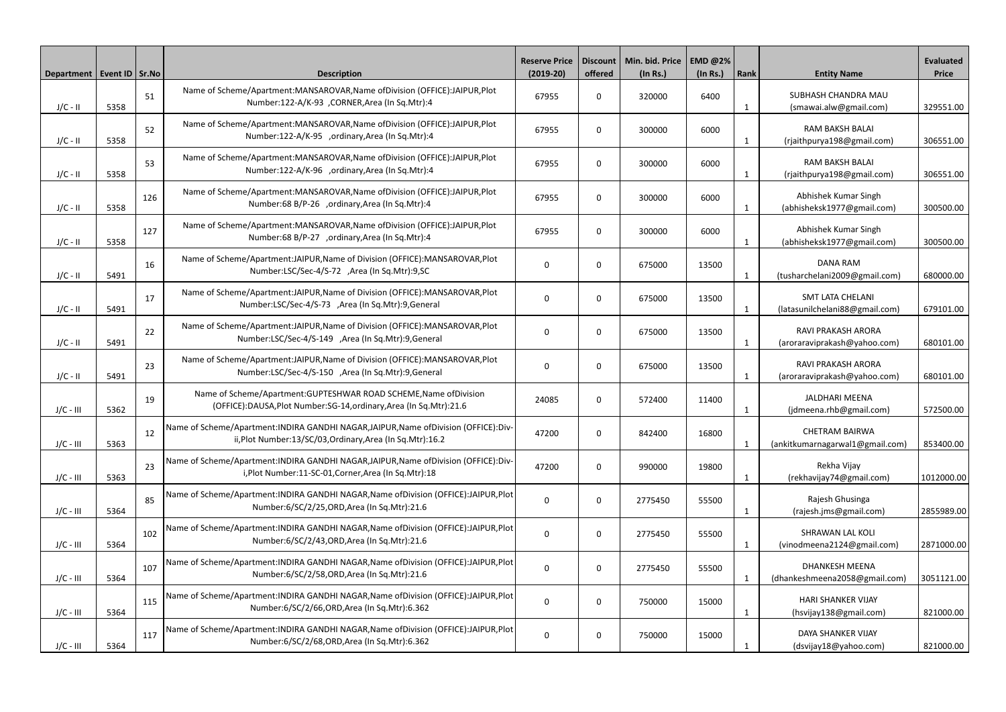| Department   Event ID   Sr. No |      |     | <b>Description</b>                                                                                                                                     | <b>Reserve Price</b><br>$(2019-20)$ | offered     | Discount   Min. bid. Price   EMD @2%<br>$($ ln Rs. $)$ | (In Rs.) | Rank         | <b>Entity Name</b>                                        | <b>Evaluated</b><br><b>Price</b> |
|--------------------------------|------|-----|--------------------------------------------------------------------------------------------------------------------------------------------------------|-------------------------------------|-------------|--------------------------------------------------------|----------|--------------|-----------------------------------------------------------|----------------------------------|
| $J/C - II$                     | 5358 | 51  | Name of Scheme/Apartment:MANSAROVAR, Name of Division (OFFICE):JAIPUR, Plot<br>Number:122-A/K-93 , CORNER, Area (In Sq. Mtr):4                         | 67955                               | $\Omega$    | 320000                                                 | 6400     | -1           | SUBHASH CHANDRA MAU<br>(smawai.alw@gmail.com)             | 329551.00                        |
| $J/C - II$                     | 5358 | 52  | Name of Scheme/Apartment:MANSAROVAR, Name of Division (OFFICE):JAIPUR, Plot<br>Number:122-A/K-95 ,ordinary,Area (In Sq.Mtr):4                          | 67955                               | $\Omega$    | 300000                                                 | 6000     | 1            | <b>RAM BAKSH BALAI</b><br>(rjaithpurya198@gmail.com)      | 306551.00                        |
| $J/C - II$                     | 5358 | 53  | Name of Scheme/Apartment:MANSAROVAR, Name of Division (OFFICE):JAIPUR, Plot<br>Number:122-A/K-96 ,ordinary,Area (In Sq.Mtr):4                          | 67955                               | $\Omega$    | 300000                                                 | 6000     | $\mathbf{1}$ | RAM BAKSH BALAI<br>(rjaithpurya198@gmail.com)             | 306551.00                        |
| $J/C - II$                     | 5358 | 126 | Name of Scheme/Apartment:MANSAROVAR, Name of Division (OFFICE):JAIPUR, Plot<br>Number:68 B/P-26 ,ordinary,Area (In Sq.Mtr):4                           | 67955                               | $\Omega$    | 300000                                                 | 6000     | 1            | Abhishek Kumar Singh<br>(abhisheksk1977@gmail.com)        | 300500.00                        |
| $J/C - II$                     | 5358 | 127 | Name of Scheme/Apartment:MANSAROVAR, Name of Division (OFFICE):JAIPUR, Plot<br>Number:68 B/P-27 ,ordinary,Area (In Sq.Mtr):4                           | 67955                               | $\Omega$    | 300000                                                 | 6000     | 1            | Abhishek Kumar Singh<br>(abhisheksk1977@gmail.com)        | 300500.00                        |
| $J/C - II$                     | 5491 | 16  | Name of Scheme/Apartment:JAIPUR, Name of Division (OFFICE): MANSAROVAR, Plot<br>Number:LSC/Sec-4/S-72 ,Area (In Sq.Mtr):9,SC                           | $\mathbf 0$                         | $\Omega$    | 675000                                                 | 13500    | 1            | <b>DANA RAM</b><br>(tusharchelani2009@gmail.com)          | 680000.00                        |
| $J/C - II$                     | 5491 | 17  | Name of Scheme/Apartment:JAIPUR, Name of Division (OFFICE): MANSAROVAR, Plot<br>Number:LSC/Sec-4/S-73 ,Area (In Sq.Mtr):9,General                      | $\mathbf 0$                         | $\Omega$    | 675000                                                 | 13500    | $\mathbf{1}$ | <b>SMT LATA CHELANI</b><br>(latasunilchelani88@gmail.com) | 679101.00                        |
| $J/C - II$                     | 5491 | 22  | Name of Scheme/Apartment:JAIPUR, Name of Division (OFFICE): MANSAROVAR, Plot<br>Number:LSC/Sec-4/S-149 ,Area (In Sq.Mtr):9,General                     | $\mathbf 0$                         | $\Omega$    | 675000                                                 | 13500    | -1           | <b>RAVI PRAKASH ARORA</b><br>(aroraraviprakash@yahoo.com) | 680101.00                        |
| $J/C - II$                     | 5491 | 23  | Name of Scheme/Apartment:JAIPUR, Name of Division (OFFICE): MANSAROVAR, Plot<br>Number:LSC/Sec-4/S-150 ,Area (In Sq.Mtr):9,General                     | $\mathbf 0$                         | $\Omega$    | 675000                                                 | 13500    | 1            | <b>RAVI PRAKASH ARORA</b><br>(aroraraviprakash@yahoo.com) | 680101.00                        |
| $J/C - III$                    | 5362 | 19  | Name of Scheme/Apartment:GUPTESHWAR ROAD SCHEME, Name of Division<br>(OFFICE):DAUSA, Plot Number: SG-14, ordinary, Area (In Sq. Mtr): 21.6             | 24085                               | $\Omega$    | 572400                                                 | 11400    |              | <b>JALDHARI MEENA</b><br>(jdmeena.rhb@gmail.com)          | 572500.00                        |
| $J/C - III$                    | 5363 | 12  | Name of Scheme/Apartment: INDIRA GANDHI NAGAR, JAIPUR, Name of Division (OFFICE): Div-<br>ii, Plot Number: 13/SC/03, Ordinary, Area (In Sq. Mtr): 16.2 | 47200                               | $\Omega$    | 842400                                                 | 16800    | $\mathbf{1}$ | <b>CHETRAM BAIRWA</b><br>(ankitkumarnagarwal1@gmail.com)  | 853400.00                        |
| $J/C - III$                    | 5363 | 23  | Name of Scheme/Apartment:INDIRA GANDHI NAGAR, JAIPUR, Name of Division (OFFICE): Div-<br>i, Plot Number: 11-SC-01, Corner, Area (In Sq. Mtr): 18       | 47200                               | $\mathbf 0$ | 990000                                                 | 19800    | -1           | Rekha Vijay<br>(rekhavijay74@gmail.com)                   | 1012000.00                       |
| $J/C - III$                    | 5364 | 85  | Name of Scheme/Apartment: INDIRA GANDHI NAGAR, Name of Division (OFFICE): JAIPUR, Plot<br>Number:6/SC/2/25,ORD,Area (In Sq.Mtr):21.6                   | $\bf{0}$                            | $\Omega$    | 2775450                                                | 55500    | $\mathbf{1}$ | Rajesh Ghusinga<br>(rajesh.jms@gmail.com)                 | 2855989.00                       |
| $J/C - III$                    | 5364 | 102 | Name of Scheme/Apartment: INDIRA GANDHI NAGAR, Name of Division (OFFICE): JAIPUR, Plot<br>Number:6/SC/2/43,ORD,Area (In Sq.Mtr):21.6                   | $\bf{0}$                            | 0           | 2775450                                                | 55500    | 1            | <b>SHRAWAN LAL KOLI</b><br>(vinodmeena2124@gmail.com)     | 2871000.00                       |
| $J/C - III$                    | 5364 | 107 | Name of Scheme/Apartment: INDIRA GANDHI NAGAR, Name of Division (OFFICE): JAIPUR, Plot<br>Number:6/SC/2/58, ORD, Area (In Sq. Mtr): 21.6               | $\bf{0}$                            | $\mathbf 0$ | 2775450                                                | 55500    | $\mathbf{1}$ | <b>DHANKESH MEENA</b><br>(dhankeshmeena2058@gmail.com)    | 3051121.00                       |
| $J/C - III$                    | 5364 | 115 | Name of Scheme/Apartment: INDIRA GANDHI NAGAR, Name of Division (OFFICE): JAIPUR, Plot<br>Number:6/SC/2/66, ORD, Area (In Sq. Mtr):6.362               | $\bf{0}$                            | $\Omega$    | 750000                                                 | 15000    | $\mathbf 1$  | <b>HARI SHANKER VIJAY</b><br>(hsvijay138@gmail.com)       | 821000.00                        |
| $J/C - III$                    | 5364 | 117 | Name of Scheme/Apartment: INDIRA GANDHI NAGAR, Name of Division (OFFICE): JAIPUR, Plot<br>Number:6/SC/2/68, ORD, Area (In Sq. Mtr):6.362               | $\mathbf 0$                         | 0           | 750000                                                 | 15000    |              | DAYA SHANKER VIJAY<br>(dsvijay18@yahoo.com)               | 821000.00                        |